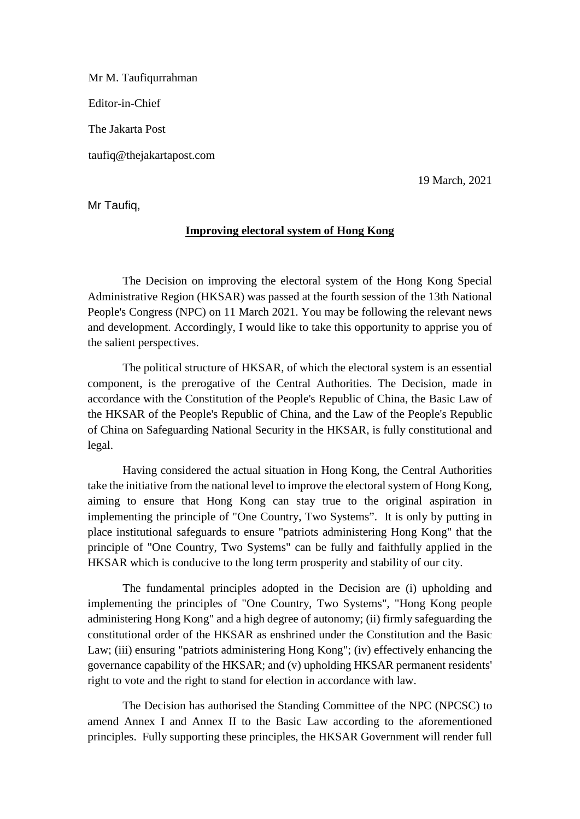Mr M. Taufiqurrahman Editor-in-Chief The Jakarta Post taufiq@thejakartapost.com

19 March, 2021

Mr Taufiq,

## **Improving electoral system of Hong Kong**

The Decision on improving the electoral system of the Hong Kong Special Administrative Region (HKSAR) was passed at the fourth session of the 13th National People's Congress (NPC) on 11 March 2021. You may be following the relevant news and development. Accordingly, I would like to take this opportunity to apprise you of the salient perspectives.

The political structure of HKSAR, of which the electoral system is an essential component, is the prerogative of the Central Authorities. The Decision, made in accordance with the Constitution of the People's Republic of China, the Basic Law of the HKSAR of the People's Republic of China, and the Law of the People's Republic of China on Safeguarding National Security in the HKSAR, is fully constitutional and legal.

Having considered the actual situation in Hong Kong, the Central Authorities take the initiative from the national level to improve the electoral system of Hong Kong, aiming to ensure that Hong Kong can stay true to the original aspiration in implementing the principle of "One Country, Two Systems". It is only by putting in place institutional safeguards to ensure "patriots administering Hong Kong" that the principle of "One Country, Two Systems" can be fully and faithfully applied in the HKSAR which is conducive to the long term prosperity and stability of our city.

The fundamental principles adopted in the Decision are (i) upholding and implementing the principles of "One Country, Two Systems", "Hong Kong people administering Hong Kong" and a high degree of autonomy; (ii) firmly safeguarding the constitutional order of the HKSAR as enshrined under the Constitution and the Basic Law; (iii) ensuring "patriots administering Hong Kong"; (iv) effectively enhancing the governance capability of the HKSAR; and (v) upholding HKSAR permanent residents' right to vote and the right to stand for election in accordance with law.

The Decision has authorised the Standing Committee of the NPC (NPCSC) to amend Annex I and Annex II to the Basic Law according to the aforementioned principles. Fully supporting these principles, the HKSAR Government will render full